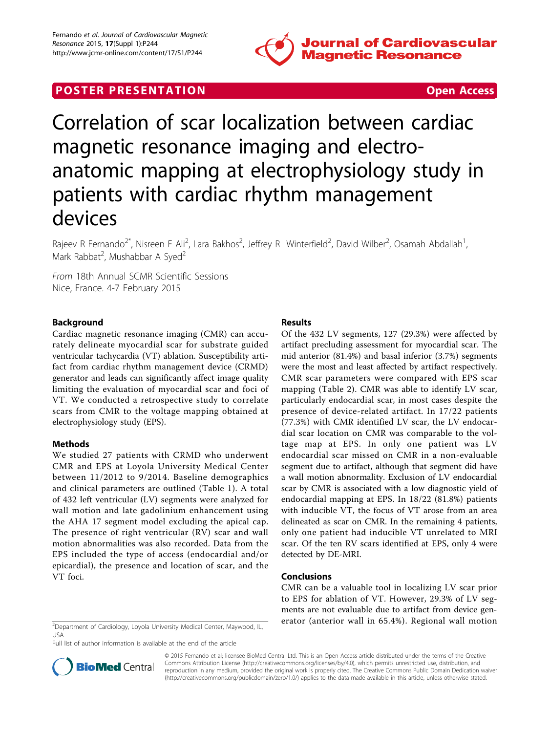

## **POSTER PRESENTATION CONSUMING THE SERVICE SERVICE SERVICES**



# Correlation of scar localization between cardiac magnetic resonance imaging and electroanatomic mapping at electrophysiology study in patients with cardiac rhythm management devices

Rajeev R Fernando<sup>2\*</sup>, Nisreen F Ali<sup>2</sup>, Lara Bakhos<sup>2</sup>, Jeffrey R Winterfield<sup>2</sup>, David Wilber<sup>2</sup>, Osamah Abdallah<sup>1</sup> , Mark Rabbat<sup>2</sup>, Mushabbar A Syed<sup>2</sup>

From 18th Annual SCMR Scientific Sessions Nice, France. 4-7 February 2015

## Background

Cardiac magnetic resonance imaging (CMR) can accurately delineate myocardial scar for substrate guided ventricular tachycardia (VT) ablation. Susceptibility artifact from cardiac rhythm management device (CRMD) generator and leads can significantly affect image quality limiting the evaluation of myocardial scar and foci of VT. We conducted a retrospective study to correlate scars from CMR to the voltage mapping obtained at electrophysiology study (EPS).

## Methods

We studied 27 patients with CRMD who underwent CMR and EPS at Loyola University Medical Center between 11/2012 to 9/2014. Baseline demographics and clinical parameters are outlined (Table [1](#page-1-0)). A total of 432 left ventricular (LV) segments were analyzed for wall motion and late gadolinium enhancement using the AHA 17 segment model excluding the apical cap. The presence of right ventricular (RV) scar and wall motion abnormalities was also recorded. Data from the EPS included the type of access (endocardial and/or epicardial), the presence and location of scar, and the VT foci.

## Results

Of the 432 LV segments, 127 (29.3%) were affected by artifact precluding assessment for myocardial scar. The mid anterior (81.4%) and basal inferior (3.7%) segments were the most and least affected by artifact respectively. CMR scar parameters were compared with EPS scar mapping (Table [2\)](#page-1-0). CMR was able to identify LV scar, particularly endocardial scar, in most cases despite the presence of device-related artifact. In 17/22 patients (77.3%) with CMR identified LV scar, the LV endocardial scar location on CMR was comparable to the voltage map at EPS. In only one patient was LV endocardial scar missed on CMR in a non-evaluable segment due to artifact, although that segment did have a wall motion abnormality. Exclusion of LV endocardial scar by CMR is associated with a low diagnostic yield of endocardial mapping at EPS. In 18/22 (81.8%) patients with inducible VT, the focus of VT arose from an area delineated as scar on CMR. In the remaining 4 patients, only one patient had inducible VT unrelated to MRI scar. Of the ten RV scars identified at EPS, only 4 were detected by DE-MRI.

## Conclusions

CMR can be a valuable tool in localizing LV scar prior to EPS for ablation of VT. However, 29.3% of LV segments are not evaluable due to artifact from device gen- $\frac{1}{2}$ Department of Cardiology, Loyola University Medical Center, Maywood, IL, erator (anterior wall in 65.4%). Regional wall motion

USA

Full list of author information is available at the end of the article



© 2015 Fernando et al; licensee BioMed Central Ltd. This is an Open Access article distributed under the terms of the Creative Commons Attribution License [\(http://creativecommons.org/licenses/by/4.0](http://creativecommons.org/licenses/by/4.0)), which permits unrestricted use, distribution, and reproduction in any medium, provided the original work is properly cited. The Creative Commons Public Domain Dedication waiver [\(http://creativecommons.org/publicdomain/zero/1.0/](http://creativecommons.org/publicdomain/zero/1.0/)) applies to the data made available in this article, unless otherwise stated.